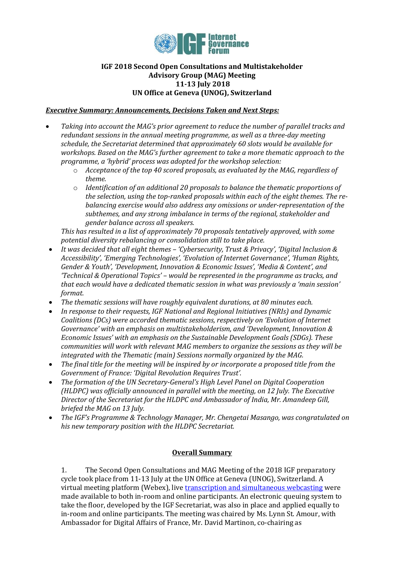

## **IGF 2018 Second Open Consultations and Multistakeholder Advisory Group (MAG) Meeting 11-13 July 2018 UN Office at Geneva (UNOG), Switzerland**

## *Executive Summary: Announcements, Decisions Taken and Next Steps:*

- *Taking into account the MAG's prior agreement to reduce the number of parallel tracks and redundant sessions in the annual meeting programme, as well as a three-day meeting schedule, the Secretariat determined that approximately 60 slots would be available for workshops. Based on the MAG's further agreement to take a more thematic approach to the programme, a 'hybrid' process was adopted for the workshop selection:*
	- o *Acceptance of the top 40 scored proposals, as evaluated by the MAG, regardless of theme.*
	- o *Identification of an additional 20 proposals to balance the thematic proportions of the selection, using the top-ranked proposals within each of the eight themes. The rebalancing exercise would also address any omissions or under-representation of the subthemes, and any strong imbalance in terms of the regional, stakeholder and gender balance across all speakers.*

*This has resulted in a list of approximately 70 proposals tentatively approved, with some potential diversity rebalancing or consolidation still to take place.*

- *It was decided that all eight themes – 'Cybersecurity, Trust & Privacy', 'Digital Inclusion & Accessibility', 'Emerging Technologies', 'Evolution of Internet Governance', 'Human Rights, Gender & Youth', 'Development, Innovation & Economic Issues', 'Media & Content', and 'Technical & Operational Topics' – would be represented in the programme as tracks, and that each would have a dedicated thematic session in what was previously a 'main session' format.*
- *The thematic sessions will have roughly equivalent durations, at 80 minutes each.*
- *In response to their requests, IGF National and Regional Initiatives (NRIs) and Dynamic Coalitions (DCs) were accorded thematic sessions, respectively on 'Evolution of Internet Governance' with an emphasis on multistakeholderism, and 'Development, Innovation & Economic Issues' with an emphasis on the Sustainable Development Goals (SDGs). These communities will work with relevant MAG members to organize the sessions as they will be integrated with the Thematic (main) Sessions normally organized by the MAG.*
- *The final title for the meeting will be inspired by or incorporate a proposed title from the Government of France: 'Digital Revolution Requires Trust'.*
- *The formation of the UN Secretary-General's High Level Panel on Digital Cooperation (HLDPC) was officially announced in parallel with the meeting, on 12 July. The Executive Director of the Secretariat for the HLDPC and Ambassador of India, Mr. Amandeep Gill, briefed the MAG on 13 July.*
- *The IGF's Programme & Technology Manager, Mr. Chengetai Masango, was congratulated on his new temporary position with the HLDPC Secretariat.*

## **Overall Summary**

1. The Second Open Consultations and MAG Meeting of the 2018 IGF preparatory cycle took place from 11-13 July at the UN Office at Geneva (UNOG), Switzerland. A virtual meeting platform (Webex), liv[e transcription and simultaneous webcasting](https://www.intgovforum.org/multilingual/content/igf-2018-second-open-consultations-and-mag-meeting?qt-igf_2018_second_open_consultatio=4#qt-igf_2018_second_open_consultatio) were made available to both in-room and online participants. An electronic queuing system to take the floor, developed by the IGF Secretariat, was also in place and applied equally to in-room and online participants. The meeting was chaired by Ms. Lynn St. Amour, with Ambassador for Digital Affairs of France, Mr. David Martinon, co-chairing as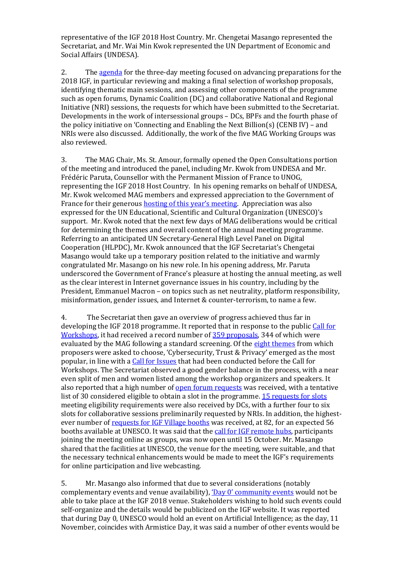representative of the IGF 2018 Host Country. Mr. Chengetai Masango represented the Secretariat, and Mr. Wai Min Kwok represented the UN Department of Economic and Social Affairs (UNDESA).

2. The [agenda](http://www.intgovforum.org/multilingual/index.php?q=filedepot_download/4931/1277) for the three-day meeting focused on advancing preparations for the 2018 IGF, in particular reviewing and making a final selection of workshop proposals, identifying thematic main sessions, and assessing other components of the programme such as open forums, Dynamic Coalition (DC) and collaborative National and Regional Initiative (NRI) sessions, the requests for which have been submitted to the Secretariat. Developments in the work of intersessional groups – DCs, BPFs and the fourth phase of the policy initiative on 'Connecting and Enabling the Next Billion(s) (CENB IV) – and NRIs were also discussed. Additionally, the work of the five MAG Working Groups was also reviewed.

3. The MAG Chair, Ms. St. Amour, formally opened the Open Consultations portion of the meeting and introduced the panel, including Mr. Kwok from UNDESA and Mr. Frédéric Paruta, Counsellor with the Permanent Mission of France to UNOG, representing the IGF 2018 Host Country. In his opening remarks on behalf of UNDESA, Mr. Kwok welcomed MAG members and expressed appreciation to the Government of France for their generous **[hosting of this year's meeting](https://www.intgovforum.org/multilingual/mag-chair-s-blog).** Appreciation was also expressed for the UN Educational, Scientific and Cultural Organization (UNESCO)'s support. Mr. Kwok noted that the next few days of MAG deliberations would be critical for determining the themes and overall content of the annual meeting programme. Referring to an anticipated UN Secretary-General High Level Panel on Digital Cooperation (HLPDC), Mr. Kwok announced that the IGF Secretariat's Chengetai Masango would take up a temporary position related to the initiative and warmly congratulated Mr. Masango on his new role. In his opening address, Mr. Paruta underscored the Government of France's pleasure at hosting the annual meeting, as well as the clear interest in Internet governance issues in his country, including by the President, Emmanuel Macron – on topics such as net neutrality, platform responsibility, misinformation, gender issues, and Internet & counter-terrorism, to name a few.

4. The Secretariat then gave an overview of progress achieved thus far in developing the IGF 2018 programme. It reported that in response to the publi[c Call for](https://www.intgovforum.org/multilingual/content/igf-2018-call-for-workshop-proposals)  [Workshops,](https://www.intgovforum.org/multilingual/content/igf-2018-call-for-workshop-proposals) it had received a record number of [359 proposals,](http://www.intgovforum.org/multilingual/workshop-proposals-2018) 344 of which were evaluated by the MAG following a standard screening. Of the [eight themes](https://www.intgovforum.org/multilingual/index.php?q=filedepot_download/6701/1282) from which proposers were asked to choose, 'Cybersecurity, Trust & Privacy' emerged as the most popular, in line with [a Call for Issues](https://www.intgovforum.org/multilingual/content/igf-2018-call-for-issues) that had been conducted before the Call for Workshops. The Secretariat observed a good gender balance in the process, with a near even split of men and women listed among the workshop organizers and speakers. It also reported that a high number o[f open forum requests](https://www.intgovforum.org/multilingual/open-forums-2018) was received, with a tentative list of 30 considered eligible to obtain a slot in the programme[. 15 requests for slots](https://www.intgovforum.org/multilingual/content/igf-2018-call-for-dynamic-coalition-dc-session-requests) meeting eligibility requirements were also received by DCs, with a further four to six slots for collaborative sessions preliminarily requested by NRIs. In addition, the highestever number o[f requests for IGF Village booths](https://www.intgovforum.org/multilingual/content/igf-2018-village-call-for-booths) was received, at 82, for an expected 56 booths available at UNESCO. It was said that the [call for IGF remote hubs,](https://www.intgovforum.org/multilingual/content/igf-2018-remote-hubs) participants joining the meeting online as groups, was now open until 15 October. Mr. Masango shared that the facilities at UNESCO, the venue for the meeting, were suitable, and that the necessary technical enhancements would be made to meet the IGF's requirements for online participation and live webcasting.

5. Mr. Masango also informed that due to several considerations (notably complementary events and venue availability), ['Day 0' community](https://www.intgovforum.org/multilingual/content/notice-to-igf-community-on-day-zero) events would not be able to take place at the IGF 2018 venue. Stakeholders wishing to hold such events could self-organize and the details would be publicized on the IGF website. It was reported that during Day 0, UNESCO would hold an event on Artificial Intelligence; as the day, 11 November, coincides with Armistice Day, it was said a number of other events would be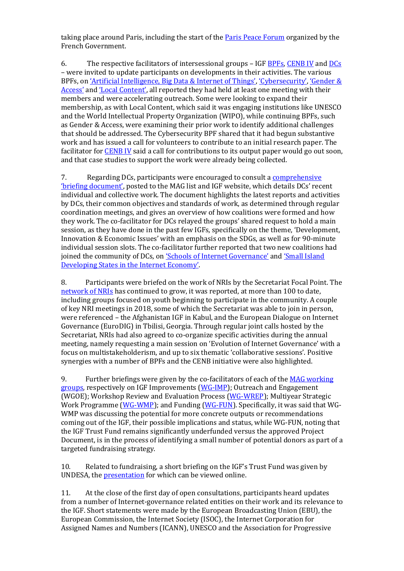taking place around Paris, including the start of the **Paris Peace Forum** organized by the French Government.

6. The respective facilitators of intersessional groups – IGF [BPFs,](https://www.intgovforum.org/multilingual/content/best-practice-forums-6) [CENB IV](https://www.intgovforum.org/multilingual/content/igf-policy-options-for-connecting-and-enabling-the-next-billions) an[d DCs](https://www.intgovforum.org/multilingual/content/dynamic-coalitions-4) – were invited to update participants on developments in their activities. The various BPFs, on 'Artif[icial Intelligence, Big Data &](https://www.intgovforum.org/multilingual/content/bpf-artificial-intelligence-ai-internet-of-things-iot-and-big-data) Internet of Things', ['Cybersecurity'](https://www.intgovforum.org/multilingual/content/bpf-cybersecurity-1), ['Gender &](https://www.intgovforum.org/multilingual/content/bpf-gender-and-access-1)  [Access'](https://www.intgovforum.org/multilingual/content/bpf-gender-and-access-1) and ['Local Content'](https://www.intgovforum.org/multilingual/content/bpf-local-content-0), all reported they had held at least one meeting with their members and were accelerating outreach. Some were looking to expand their membership, as with Local Content, which said it was engaging institutions like UNESCO and the World Intellectual Property Organization (WIPO), while continuing BPFs, such as Gender & Access, were examining their prior work to identify additional challenges that should be addressed. The Cybersecurity BPF shared that it had begun substantive work and has issued a call for volunteers to contribute to an initial research paper. The facilitator fo[r CENB IV](https://www.intgovforum.org/multilingual/content/cenb-%E2%80%93-phase-iv-0) said a call for contributions to its output paper would go out soon, and that case studies to support the work were already being collected.

7. Regarding DCs, participants were encouraged to consult a **comprehensive** ['briefing document'](https://www.intgovforum.org/multilingual/index.php?q=filedepot_download/3737/1286), posted to the MAG list and IGF website, which details DCs' recent individual and collective work. The document highlights the latest reports and activities by DCs, their common objectives and standards of work, as determined through regular coordination meetings, and gives an overview of how coalitions were formed and how they work. The co-facilitator for DCs relayed the groups' shared request to hold a main session, as they have done in the past few IGFs, specifically on the theme, 'Development, Innovation & Economic Issues' with an emphasis on the SDGs, as well as for 90-minute individual session slots. The co-facilitator further reported that two new coalitions had joined the community of DCs, on '[Schools of Internet Governance](https://www.intgovforum.org/multilingual/content/dynamic-coalition-on-schools-of-internet-governance)' and '[Small Island](https://www.intgovforum.org/multilingual/content/dynamic-coalition-on-small-island-developing-states-in-the-internet-economy-dc-sids)  [Developing States in the Internet Economy](https://www.intgovforum.org/multilingual/content/dynamic-coalition-on-small-island-developing-states-in-the-internet-economy-dc-sids)'.

8. Participants were briefed on the work of NRIs by the Secretariat Focal Point. The [network of NRIs](https://www.intgovforum.org/multilingual/content/igf-regional-and-national-initiatives) has continued to grow, it was reported, at more than 100 to date, including groups focused on youth beginning to participate in the community. A couple of key NRI meetings in 2018, some of which the Secretariat was able to join in person, were referenced – the Afghanistan IGF in Kabul, and the European Dialogue on Internet Governance (EuroDIG) in Tbilisi, Georgia. Through regular joint calls hosted by the Secretariat, NRIs had also agreed to co-organize specific activities during the annual meeting, namely requesting a main session on 'Evolution of Internet Governance' with a focus on multistakeholderism, and up to six thematic 'collaborative sessions'. Positive synergies with a number of BPFs and the CENB initiative were also highlighted.

9. Further briefings were given by the co-facilitators of each of the MAG working [groups,](https://www.intgovforum.org/multilingual/content/mag-working-groups) respectively on IGF Improvements [\(WG-IMP\)](https://www.intgovforum.org/multilingual/content/working-group-on-igf-improvements-wg-imp); Outreach and Engagement (WGOE); Workshop Review and Evaluation Process [\(WG-WREP\)](https://www.intgovforum.org/multilingual/content/working-group-on-workshop-review-and-evaluation-process-wg-wrep); Multiyear Strategic Work Programme [\(WG-WMP\)](https://www.intgovforum.org/multilingual/content/working-group-on-multi-year-strategic-work-programme-wg-mwp); and Funding [\(WG-FUN\)](https://www.intgovforum.org/multilingual/content/working-group-on-fundraising-wg-fun). Specifically, it was said that WG-WMP was discussing the potential for more concrete outputs or recommendations coming out of the IGF, their possible implications and status, while WG-FUN, noting that the IGF Trust Fund remains significantly underfunded versus the approved Project Document, is in the process of identifying a small number of potential donors as part of a targeted fundraising strategy.

10. Related to fundraising, a short briefing on the IGF's Trust Fund was given by UNDESA, th[e presentation](https://www.intgovforum.org/multilingual/index.php?q=filedepot_download/6701/1280) for which can be viewed online.

11. At the close of the first day of open consultations, participants heard updates from a number of Internet-governance related entities on their work and its relevance to the IGF. Short statements were made by the European Broadcasting Union (EBU), the European Commission, the Internet Society (ISOC), the Internet Corporation for Assigned Names and Numbers (ICANN), UNESCO and the Association for Progressive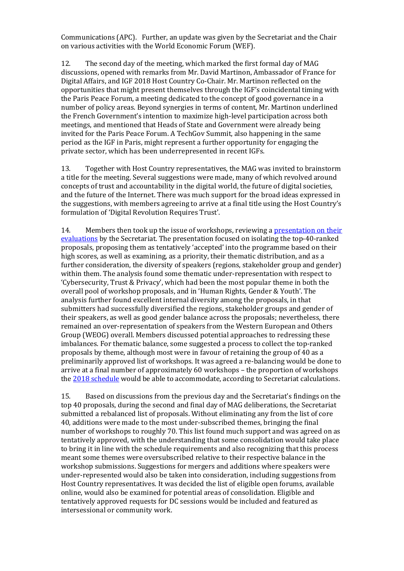Communications (APC). Further, an update was given by the Secretariat and the Chair on various activities with the World Economic Forum (WEF).

12. The second day of the meeting, which marked the first formal day of MAG discussions, opened with remarks from Mr. David Martinon, Ambassador of France for Digital Affairs, and IGF 2018 Host Country Co-Chair. Mr. Martinon reflected on the opportunities that might present themselves through the IGF's coincidental timing with the Paris Peace Forum, a meeting dedicated to the concept of good governance in a number of policy areas. Beyond synergies in terms of content, Mr. Martinon underlined the French Government's intention to maximize high-level participation across both meetings, and mentioned that Heads of State and Government were already being invited for the Paris Peace Forum. A TechGov Summit, also happening in the same period as the IGF in Paris, might represent a further opportunity for engaging the private sector, which has been underrepresented in recent IGFs.

13. Together with Host Country representatives, the MAG was invited to brainstorm a title for the meeting. Several suggestions were made, many of which revolved around concepts of trust and accountability in the digital world, the future of digital societies, and the future of the Internet. There was much support for the broad ideas expressed in the suggestions, with members agreeing to arrive at a final title using the Host Country's formulation of 'Digital Revolution Requires Trust'.

14. Members then took up the issue of workshops, reviewing a [presentation](https://www.intgovforum.org/multilingual/index.php?q=filedepot_download/6701/1279) on their [evaluations](https://www.intgovforum.org/multilingual/index.php?q=filedepot_download/6701/1279) by the Secretariat. The presentation focused on isolating the top-40-ranked proposals, proposing them as tentatively 'accepted' into the programme based on their high scores, as well as examining, as a priority, their thematic distribution, and as a further consideration, the diversity of speakers (regions, stakeholder group and gender) within them. The analysis found some thematic under-representation with respect to 'Cybersecurity, Trust & Privacy', which had been the most popular theme in both the overall pool of workshop proposals, and in 'Human Rights, Gender & Youth'. The analysis further found excellent internal diversity among the proposals, in that submitters had successfully diversified the regions, stakeholder groups and gender of their speakers, as well as good gender balance across the proposals; nevertheless, there remained an over-representation of speakers from the Western European and Others Group (WEOG) overall. Members discussed potential approaches to redressing these imbalances. For thematic balance, some suggested a process to collect the top-ranked proposals by theme, although most were in favour of retaining the group of 40 as a preliminarily approved list of workshops. It was agreed a re-balancing would be done to arrive at a final number of approximately 60 workshops – the proportion of workshops th[e 2018 schedule](http://www.intgovforum.org/multilingual/index.php?q=filedepot_download/6657/1269) would be able to accommodate, according to Secretariat calculations.

15. Based on discussions from the previous day and the Secretariat's findings on the top 40 proposals, during the second and final day of MAG deliberations, the Secretariat submitted a rebalanced list of proposals. Without eliminating any from the list of core 40, additions were made to the most under-subscribed themes, bringing the final number of workshops to roughly 70. This list found much support and was agreed on as tentatively approved, with the understanding that some consolidation would take place to bring it in line with the schedule requirements and also recognizing that this process meant some themes were oversubscribed relative to their respective balance in the workshop submissions. Suggestions for mergers and additions where speakers were under-represented would also be taken into consideration, including suggestions from Host Country representatives. It was decided the list of eligible open forums, available online, would also be examined for potential areas of consolidation. Eligible and tentatively approved requests for DC sessions would be included and featured as intersessional or community work.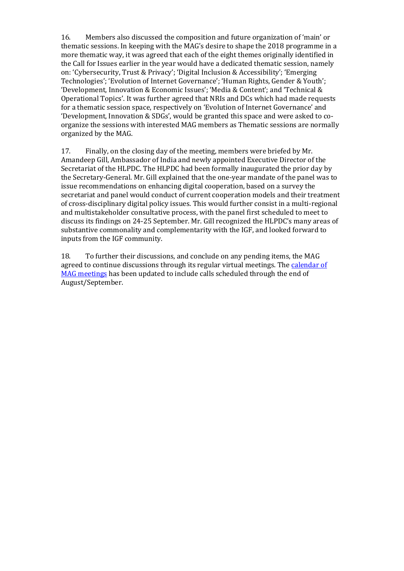16. Members also discussed the composition and future organization of 'main' or thematic sessions. In keeping with the MAG's desire to shape the 2018 programme in a more thematic way, it was agreed that each of the eight themes originally identified in the Call for Issues earlier in the year would have a dedicated thematic session, namely on: 'Cybersecurity, Trust & Privacy'; 'Digital Inclusion & Accessibility'; 'Emerging Technologies'; 'Evolution of Internet Governance'; 'Human Rights, Gender & Youth'; 'Development, Innovation & Economic Issues'; 'Media & Content'; and 'Technical & Operational Topics'. It was further agreed that NRIs and DCs which had made requests for a thematic session space, respectively on 'Evolution of Internet Governance' and 'Development, Innovation & SDGs', would be granted this space and were asked to coorganize the sessions with interested MAG members as Thematic sessions are normally organized by the MAG.

17. Finally, on the closing day of the meeting, members were briefed by Mr. Amandeep Gill, Ambassador of India and newly appointed Executive Director of the Secretariat of the HLPDC. The HLPDC had been formally inaugurated the prior day by the Secretary-General. Mr. Gill explained that the one-year mandate of the panel was to issue recommendations on enhancing digital cooperation, based on a survey the secretariat and panel would conduct of current cooperation models and their treatment of cross-disciplinary digital policy issues. This would further consist in a multi-regional and multistakeholder consultative process, with the panel first scheduled to meet to discuss its findings on 24-25 September. Mr. Gill recognized the HLPDC's many areas of substantive commonality and complementarity with the IGF, and looked forward to inputs from the IGF community.

18. To further their discussions, and conclude on any pending items, the MAG agreed to continue discussions through its regular virtual meetings. The [calendar of](https://docs.google.com/document/d/1VifeAiFb7fwX6t1rVpBlbKv5tfigj6dm7wkv13nQItg/edit)  [MAG meetings](https://docs.google.com/document/d/1VifeAiFb7fwX6t1rVpBlbKv5tfigj6dm7wkv13nQItg/edit) has been updated to include calls scheduled through the end of August/September.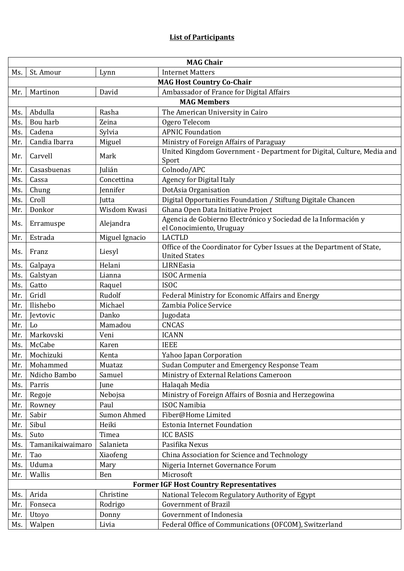|                                                | <b>MAG Chair</b>                 |                |                                                                                                |  |  |  |
|------------------------------------------------|----------------------------------|----------------|------------------------------------------------------------------------------------------------|--|--|--|
| Ms.                                            | St. Amour                        | Lynn           | <b>Internet Matters</b>                                                                        |  |  |  |
|                                                | <b>MAG Host Country Co-Chair</b> |                |                                                                                                |  |  |  |
| Mr.                                            | Martinon                         | David          | Ambassador of France for Digital Affairs                                                       |  |  |  |
|                                                |                                  |                | <b>MAG Members</b>                                                                             |  |  |  |
| Ms.                                            | Abdulla                          | Rasha          | The American University in Cairo                                                               |  |  |  |
| Ms.                                            | Bou harb                         | Zeina          | Ogero Telecom                                                                                  |  |  |  |
| Ms.                                            | Cadena                           | Sylvia         | <b>APNIC Foundation</b>                                                                        |  |  |  |
| Mr.                                            | Candia Ibarra                    | Miguel         | Ministry of Foreign Affairs of Paraguay                                                        |  |  |  |
| Mr.                                            | Carvell                          | Mark           | United Kingdom Government - Department for Digital, Culture, Media and<br>Sport                |  |  |  |
| Mr.                                            | Casasbuenas                      | Julián         | Colnodo/APC                                                                                    |  |  |  |
| Ms.                                            | Cassa                            | Concettina     | <b>Agency for Digital Italy</b>                                                                |  |  |  |
| Ms.                                            | Chung                            | Jennifer       | DotAsia Organisation                                                                           |  |  |  |
| Ms.                                            | Croll                            | Jutta          | Digital Opportunities Foundation / Stiftung Digitale Chancen                                   |  |  |  |
| Mr.                                            | Donkor                           | Wisdom Kwasi   | Ghana Open Data Initiative Project                                                             |  |  |  |
| Ms.                                            | Erramuspe                        | Alejandra      | Agencia de Gobierno Electrónico y Sociedad de la Información y<br>el Conocimiento, Uruguay     |  |  |  |
| Mr.                                            | Estrada                          | Miguel Ignacio | <b>LACTLD</b>                                                                                  |  |  |  |
| Ms.                                            | Franz                            | Liesyl         | Office of the Coordinator for Cyber Issues at the Department of State,<br><b>United States</b> |  |  |  |
| Ms.                                            | Galpaya                          | Helani         | LIRNEasia                                                                                      |  |  |  |
| Ms.                                            | Galstyan                         | Lianna         | <b>ISOC</b> Armenia                                                                            |  |  |  |
| Ms.                                            | Gatto                            | Raquel         | <b>ISOC</b>                                                                                    |  |  |  |
| Mr.                                            | Gridl                            | Rudolf         | Federal Ministry for Economic Affairs and Energy                                               |  |  |  |
| Mr.                                            | Ilishebo                         | Michael        | Zambia Police Service                                                                          |  |  |  |
| Mr.                                            | Jevtovic                         | Danko          | Jugodata                                                                                       |  |  |  |
| Mr.                                            | Lo                               | Mamadou        | <b>CNCAS</b>                                                                                   |  |  |  |
| Mr.                                            | Markovski                        | Veni           | <b>ICANN</b>                                                                                   |  |  |  |
| Ms.                                            | McCabe                           | Karen          | <b>IEEE</b>                                                                                    |  |  |  |
| Mr.                                            | Mochizuki                        | Kenta          | Yahoo Japan Corporation                                                                        |  |  |  |
| Mr.                                            | Mohammed                         | Muataz         | Sudan Computer and Emergency Response Team                                                     |  |  |  |
| Mr.                                            | Ndicho Bambo                     | Samuel         | Ministry of External Relations Cameroon                                                        |  |  |  |
| Ms.                                            | Parris                           | June           | Halaqah Media                                                                                  |  |  |  |
| Mr.                                            | Regoje                           | Nebojsa        | Ministry of Foreign Affairs of Bosnia and Herzegowina                                          |  |  |  |
| Mr.                                            | Rowney                           | Paul           | <b>ISOC Namibia</b>                                                                            |  |  |  |
| Mr.                                            | Sabir                            | Sumon Ahmed    | Fiber@Home Limited                                                                             |  |  |  |
| Mr.                                            | Sibul                            | Heiki          | <b>Estonia Internet Foundation</b>                                                             |  |  |  |
| Ms.                                            | Suto                             | Timea          | <b>ICC BASIS</b>                                                                               |  |  |  |
| Ms.                                            | Tamanikaiwaimaro                 | Salanieta      | Pasifika Nexus                                                                                 |  |  |  |
| Mr.                                            | Tao                              | Xiaofeng       | China Association for Science and Technology                                                   |  |  |  |
| Ms.                                            | Uduma                            | Mary           | Nigeria Internet Governance Forum                                                              |  |  |  |
| Mr.                                            | Wallis                           | Ben            | Microsoft                                                                                      |  |  |  |
| <b>Former IGF Host Country Representatives</b> |                                  |                |                                                                                                |  |  |  |
| Ms.                                            | Arida                            | Christine      | National Telecom Regulatory Authority of Egypt                                                 |  |  |  |
| Mr.                                            | Fonseca                          | Rodrigo        | <b>Government of Brazil</b>                                                                    |  |  |  |
| Mr.                                            | Utoyo                            | Donny          | Government of Indonesia                                                                        |  |  |  |
| Ms.                                            | Walpen                           | Livia          | Federal Office of Communications (OFCOM), Switzerland                                          |  |  |  |
|                                                |                                  |                |                                                                                                |  |  |  |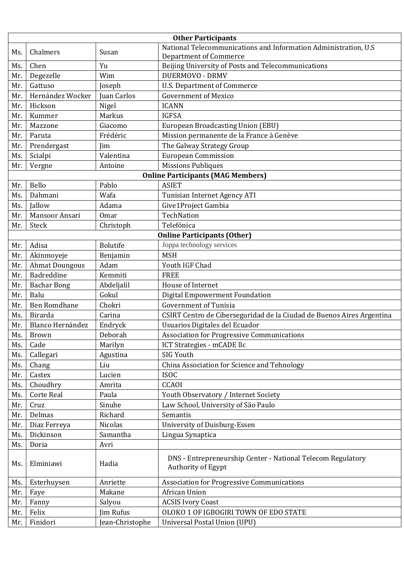| <b>Other Participants</b> |                                    |                 |                                                                                                  |  |  |  |
|---------------------------|------------------------------------|-----------------|--------------------------------------------------------------------------------------------------|--|--|--|
| Ms.                       | Chalmers                           | Susan           | National Telecommunications and Information Administration, U.S<br><b>Department of Commerce</b> |  |  |  |
| Ms.                       | Chen                               | Yu              | Beijing University of Posts and Telecommunications                                               |  |  |  |
| Mr.                       | Degezelle                          | Wim             | <b>DUERMOVO - DRMV</b>                                                                           |  |  |  |
| Mr.                       | Gattuso                            | Joseph          | U.S. Department of Commerce                                                                      |  |  |  |
| Mr.                       | Hernández Wocker                   | Juan Carlos     | <b>Government of Mexico</b>                                                                      |  |  |  |
| Mr.                       | Hickson                            | Nigel           | <b>ICANN</b>                                                                                     |  |  |  |
| Mr.                       | Kummer                             | Markus          | <b>IGFSA</b>                                                                                     |  |  |  |
| Mr.                       | Mazzone                            | Giacomo         | <b>European Broadcasting Union (EBU)</b>                                                         |  |  |  |
| Mr.                       | Paruta                             | Frédéric        | Mission permanente de la France à Genève                                                         |  |  |  |
| Mr.                       | Prendergast                        | Jim             | The Galway Strategy Group                                                                        |  |  |  |
| Ms.                       | Scialpi                            | Valentina       | <b>European Commission</b>                                                                       |  |  |  |
| Mr.                       | Vergne                             | Antoine         | <b>Missions Publiques</b>                                                                        |  |  |  |
|                           |                                    |                 | <b>Online Participants (MAG Members)</b>                                                         |  |  |  |
| Mr.                       | Bello                              | Pablo           | <b>ASIET</b>                                                                                     |  |  |  |
| Ms.                       | Dahmani                            | Wafa            | Tunisian Internet Agency ATI                                                                     |  |  |  |
| Ms.                       | Jallow                             | Adama           | Give1Project Gambia                                                                              |  |  |  |
| Mr.                       | Mansoor Ansari                     | <b>Omar</b>     | TechNation                                                                                       |  |  |  |
| Mr.                       | Steck                              | Christoph       | Telefónica                                                                                       |  |  |  |
|                           | <b>Online Participants (Other)</b> |                 |                                                                                                  |  |  |  |
| Mr.                       | Adisa                              | <b>Bolutife</b> | Joppa technology services                                                                        |  |  |  |
| Mr.                       | Akinmoyeje                         | Benjamin        | <b>MSH</b>                                                                                       |  |  |  |
| Mr.                       | <b>Ahmat Doungous</b>              | Adam            | Youth IGF Chad                                                                                   |  |  |  |
| Mr.                       | Badreddine                         | Kemmiti         | <b>FREE</b>                                                                                      |  |  |  |
| Mr.                       | <b>Bachar Bong</b>                 | Abdeljalil      | House of Internet                                                                                |  |  |  |
| Mr.                       | Balu                               | Gokul           | Digital Empowerment Foundation                                                                   |  |  |  |
| Mr.                       | <b>Ben Romdhane</b>                | Chokri          | <b>Government of Tunisia</b>                                                                     |  |  |  |
| Ms.                       | Birarda                            | Carina          | CSIRT Centro de Ciberseguridad de la Ciudad de Buenos Aires Argentina                            |  |  |  |
| Mr.                       | <b>Blanco Hernández</b>            | Endryck         | Usuarios Digitales del Ecuador                                                                   |  |  |  |
| Ms.                       | <b>Brown</b>                       | Deborah         | Association for Progressive Communications                                                       |  |  |  |
| Ms.                       | Cade                               | Marilyn         | ICT Strategies - mCADE llc                                                                       |  |  |  |
| Ms.                       | Callegari                          | Agustina        | SIG Youth                                                                                        |  |  |  |
| Ms.                       | Chang                              | Liu             | China Association for Science and Tehnology                                                      |  |  |  |
| Mr.                       | Castex                             | Lucien          | <b>ISOC</b>                                                                                      |  |  |  |
| Ms.                       | Choudhry                           | Amrita          | CCAOI                                                                                            |  |  |  |
| Ms.                       | <b>Corte Real</b>                  | Paula           | Youth Observatory / Internet Society                                                             |  |  |  |
| Mr.                       | Cruz                               | Sinuhe          | Law School, University of São Paulo                                                              |  |  |  |
| Mr.                       | Delmas                             | Richard         | Semantis                                                                                         |  |  |  |
| Mr.                       | Diaz Ferreya                       | Nicolas         | University of Duisburg-Essen                                                                     |  |  |  |
| Ms.                       | Dickinson                          | Samantha        | Lingua Synaptica                                                                                 |  |  |  |
| Ms.                       | Doria                              | Avri            |                                                                                                  |  |  |  |
| Ms.                       | Elminiawi                          | Hadia           | DNS - Entrepreneurship Center - National Telecom Regulatory<br>Authority of Egypt                |  |  |  |
| Ms.                       | Esterhuysen                        | Anriette        | <b>Association for Progressive Communications</b>                                                |  |  |  |
| Mr.                       | Faye                               | Makane          | African Union                                                                                    |  |  |  |
| Mr.                       | Fanny                              | Salyou          | <b>ACSIS Ivory Coast</b>                                                                         |  |  |  |
| Mr.                       | Felix                              | Jim Rufus       | OLOKO 1 OF IGBOGIRI TOWN OF EDO STATE                                                            |  |  |  |
| Mr.                       | Finidori                           | Jean-Christophe | Universal Postal Union (UPU)                                                                     |  |  |  |